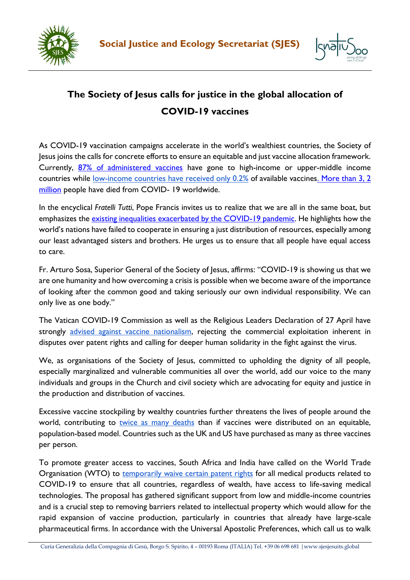



## **The Society of Jesus calls for justice in the global allocation of COVID-19 vaccines**

As COVID-19 vaccination campaigns accelerate in the world's wealthiest countries, the Society of Jesus joins the calls for concrete efforts to ensure an equitable and just vaccine allocation framework. Currently, [87% of administered vaccines](https://www.who.int/director-general/speeches/detail/director-general-s-opening-remarks-at-the-media-briefing-on-covid-19-9-april-2021) have gone to high-income or upper-middle income countries while [low-income countries have received only 0.2%](https://www.who.int/director-general/speeches/detail/director-general-s-opening-remarks-at-the-media-briefing-on-covid-19-9-april-2021) of available vaccine[s. More than 3, 2](https://coronavirus.jhu.edu/map.html) [million](https://coronavirus.jhu.edu/map.html) people have died from COVID- 19 worldwide.

In the encyclical *Fratelli Tutti*, Pope Francis invites us to realize that we are all in the same boat, but emphasizes the *existing inequalities exacerbated by the COVID-19 pandemic*. He highlights how the world's nations have failed to cooperate in ensuring a just distribution of resources, especially among our least advantaged sisters and brothers. He urges us to ensure that all people have equal access to care.

Fr. Arturo Sosa, Superior General of the Society of Jesus, affirms: "COVID-19 is showing us that we are one humanity and how overcoming a crisis is possible when we become aware of the importance of looking after the common good and taking seriously our own individual responsibility. We can only live as one body."

The Vatican COVID-19 Commission as well as the Religious Leaders Declaration of 27 April have strongl[y](https://press.vatican.va/content/salastampa/it/bollettino/pubblico/2020/12/29/0697/01628.html#notaing) [advised against vaccine nationalism,](https://press.vatican.va/content/salastampa/it/bollettino/pubblico/2020/12/29/0697/01628.html#notaing) rejecting the commercial exploitation inherent in disputes over patent rights and calling for deeper human solidarity in the fight against the virus.

We, as organisations of the Society of Jesus, committed to upholding the dignity of all people, especially marginalized and vulnerable communities all over the world, add our voice to the many individuals and groups in the Church and civil society which are advocating for equity and justice in the production and distribution of vaccines.

Excessive vaccine stockpiling by wealthy countries further threatens the lives of people around the world, contributing to [twice as many deaths](https://www.gavi.org/vaccineswork/equitable-covid-19-vaccine-distribution-will-lead-biggest-reduction-deaths) than if vaccines were distributed on an equitable, population-based model. Countries such as the UK and US have purchased as many as [three vaccines](https://www.americamagazine.org/politics-society/2021/01/27/covid-vaccine-distribution-united-states-vatican-239797)  [per person.](https://www.americamagazine.org/politics-society/2021/01/27/covid-vaccine-distribution-united-states-vatican-239797) 

To promote greater access to vaccines, South Africa and India have called on the World Trade Organisation (WTO) to [temporarily waive certain patent rights](https://docs.wto.org/dol2fe/Pages/SS/directdoc.aspx?filename=q:/IP/C/W669.pdf&Open=True) for all medical products related to COVID-19 to ensure that all countries, regardless of wealth, have access to life-saving medical technologies. The proposal has gathered significant support from low and middle-income countries and is a crucial step to removing barriers related to intellectual property which would allow for the rapid expansion of vaccine production, particularly in countries that already have large-scale pharmaceutical firms. In accordance with the Universal Apostolic Preferences, which call us to walk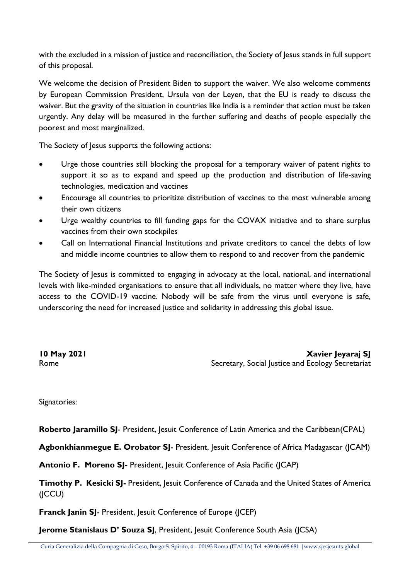with the excluded in a mission of justice and reconciliation, the Society of Jesus stands in full support of this proposal.

We welcome the decision of President Biden to support the waiver. We also welcome comments by European Commission President, Ursula von der Leyen, that the EU is ready to discuss the waiver. But the gravity of the situation in countries like India is a reminder that action must be taken urgently. Any delay will be measured in the further suffering and deaths of people especially the poorest and most marginalized.

The Society of Jesus supports the following actions:

- Urge those countries still blocking the proposal for a temporary waiver of patent rights to support it so as to expand and speed up the production and distribution of life-saving technologies, medication and vaccines
- Encourage all countries to prioritize distribution of vaccines to the most vulnerable among their own citizens
- Urge wealthy countries to fill funding gaps for the COVAX initiative and to share surplus vaccines from their own stockpiles
- Call on International Financial Institutions and private creditors to cancel the debts of low and middle income countries to allow them to respond to and recover from the pandemic

The Society of Jesus is committed to engaging in advocacy at the local, national, and international levels with like-minded organisations to ensure that all individuals, no matter where they live, have access to the COVID-19 vaccine. Nobody will be safe from the virus until everyone is safe, underscoring the need for increased justice and solidarity in addressing this global issue.

**10 May 2021 Xavier Jeyaraj SJ** Rome **Secretary, Social Justice and Ecology Secretariat** 

Signatories:

**Roberto Jaramillo SJ**- President, Jesuit Conference of Latin America and the Caribbean(CPAL)

**Agbonkhianmegue E. Orobator SJ**- President, Jesuit Conference of Africa Madagascar (JCAM)

**Antonio F. Moreno SJ-** President, Jesuit Conference of Asia Pacific (JCAP)

**Timothy P. Kesicki SJ-** President, Jesuit Conference of Canada and the United States of America (JCCU)

**Franck Janin SJ**- President, Jesuit Conference of Europe (JCEP)

**Jerome Stanislaus D' Souza SJ**, President, Jesuit Conference South Asia (JCSA)